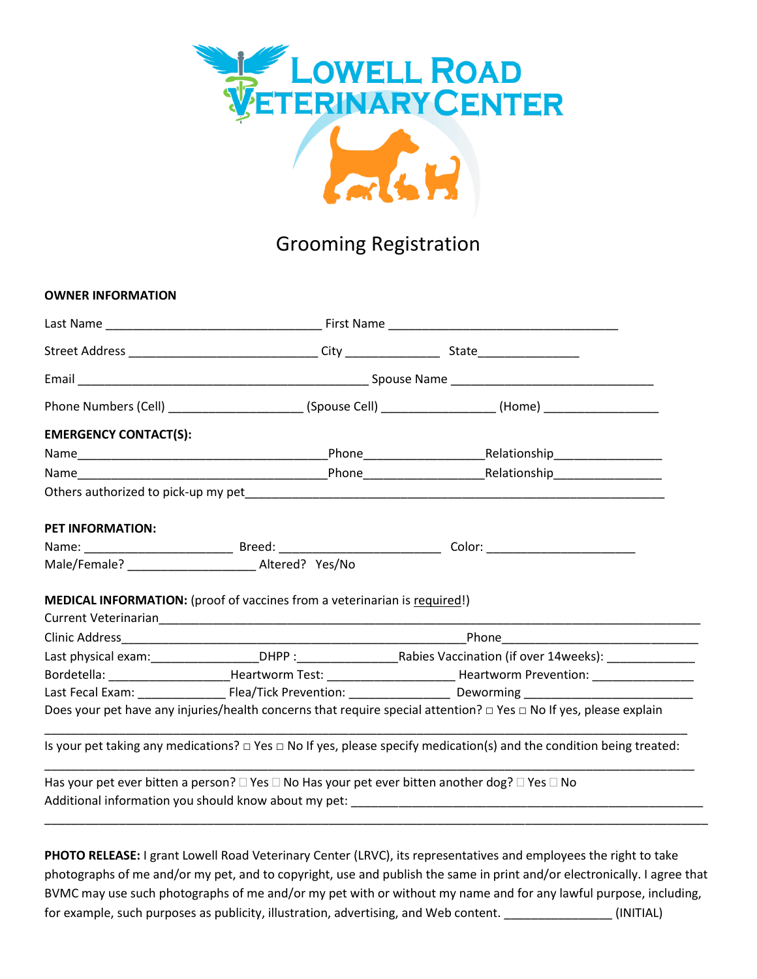

## Grooming Registration

## **OWNER INFORMATION** Last Name \_\_\_\_\_\_\_\_\_\_\_\_\_\_\_\_\_\_\_\_\_\_\_\_\_\_\_\_\_\_\_\_ First Name \_\_\_\_\_\_\_\_\_\_\_\_\_\_\_\_\_\_\_\_\_\_\_\_\_\_\_\_\_\_\_\_\_\_ Street Address \_\_\_\_\_\_\_\_\_\_\_\_\_\_\_\_\_\_\_\_\_\_\_\_\_\_\_\_ City \_\_\_\_\_\_\_\_\_\_\_\_\_\_ State\_\_\_\_\_\_\_\_\_\_\_\_\_\_\_ Email Email **Email Email Email Email Email Email Email Email Email Email Email Email Email Email Email Email Email Email Email Email Email Email Email Email Email Email E** Phone Numbers (Cell) \_\_\_\_\_\_\_\_\_\_\_\_\_\_\_\_\_\_\_\_ (Spouse Cell) \_\_\_\_\_\_\_\_\_\_\_\_\_\_\_\_\_ (Home) \_\_\_\_\_\_\_\_\_\_\_\_\_\_\_\_\_ **EMERGENCY CONTACT(S):**  Name\_\_\_\_\_\_\_\_\_\_\_\_\_\_\_\_\_\_\_\_\_\_\_\_\_\_\_\_\_\_\_\_\_\_\_\_\_Phone\_\_\_\_\_\_\_\_\_\_\_\_\_\_\_\_\_\_Relationship\_\_\_\_\_\_\_\_\_\_\_\_\_\_\_\_ Name\_\_\_\_\_\_\_\_\_\_\_\_\_\_\_\_\_\_\_\_\_\_\_\_\_\_\_\_\_\_\_\_\_\_\_\_\_Phone\_\_\_\_\_\_\_\_\_\_\_\_\_\_\_\_\_\_Relationship\_\_\_\_\_\_\_\_\_\_\_\_\_\_\_\_ Others authorized to pick-up my pet **PET INFORMATION:**  Name: \_\_\_\_\_\_\_\_\_\_\_\_\_\_\_\_\_\_\_\_\_\_ Breed: \_\_\_\_\_\_\_\_\_\_\_\_\_\_\_\_\_\_\_\_\_\_\_\_ Color: \_\_\_\_\_\_\_\_\_\_\_\_\_\_\_\_\_\_\_\_\_\_ Male/Female? \_\_\_\_\_\_\_\_\_\_\_\_\_\_\_\_\_\_\_ Altered? Yes/No **MEDICAL INFORMATION:** (proof of vaccines from a veterinarian is required!) Current Veterinarian\_\_\_\_\_\_\_\_\_\_\_\_\_\_\_\_\_\_\_\_\_\_\_\_\_\_\_\_\_\_\_\_\_\_\_\_\_\_\_\_\_\_\_\_\_\_\_\_\_\_\_\_\_\_\_\_\_\_\_\_\_\_\_\_\_\_\_\_\_\_\_\_\_\_\_\_\_\_\_\_ Clinic Address **Example 2** and the set of the set of the set of the set of the set of the set of the set of the set of the set of the set of the set of the set of the set of the set of the set of the set of the set of the Last physical exam:\_\_\_\_\_\_\_\_\_\_\_\_\_\_\_\_DHPP :\_\_\_\_\_\_\_\_\_\_\_\_\_\_\_Rabies Vaccination (if over 14weeks): \_\_\_\_\_\_\_\_\_\_\_\_\_ Bordetella: \_\_\_\_\_\_\_\_\_\_\_\_\_\_\_\_\_\_\_\_\_\_\_Heartworm Test: \_\_\_\_\_\_\_\_\_\_\_\_\_\_\_\_\_\_\_\_\_\_\_\_\_\_\_\_Heartworm Prevention: \_\_\_\_\_\_\_\_\_ Last Fecal Exam: \_\_\_\_\_\_\_\_\_\_\_\_\_ Flea/Tick Prevention: \_\_\_\_\_\_\_\_\_\_\_\_\_\_\_ Deworming \_\_\_\_\_\_\_\_\_\_\_\_\_\_\_\_\_\_\_\_\_\_\_\_\_ Does your pet have any injuries/health concerns that require special attention? □ Yes □ No If yes, please explain \_\_\_\_\_\_\_\_\_\_\_\_\_\_\_\_\_\_\_\_\_\_\_\_\_\_\_\_\_\_\_\_\_\_\_\_\_\_\_\_\_\_\_\_\_\_\_\_\_\_\_\_\_\_\_\_\_\_\_\_\_\_\_\_\_\_\_\_\_\_\_\_\_\_\_\_\_\_\_\_\_\_\_\_\_\_\_\_\_\_\_\_\_\_\_ Is your pet taking any medications? □ Yes □ No If yes, please specify medication(s) and the condition being treated: \_\_\_\_\_\_\_\_\_\_\_\_\_\_\_\_\_\_\_\_\_\_\_\_\_\_\_\_\_\_\_\_\_\_\_\_\_\_\_\_\_\_\_\_\_\_\_\_\_\_\_\_\_\_\_\_\_\_\_\_\_\_\_\_\_\_\_\_\_\_\_\_\_\_\_\_\_\_\_\_\_\_\_\_\_\_\_\_\_\_\_\_\_\_\_\_ Has your pet ever bitten a person?  $\Box$  Yes  $\Box$  No Has your pet ever bitten another dog?  $\Box$  Yes  $\Box$  No Additional information you should know about my pet: \_\_\_\_\_\_\_\_\_\_\_\_\_\_\_\_\_\_\_\_\_\_\_\_\_\_\_\_\_\_\_\_\_\_\_\_\_\_\_\_\_\_\_\_\_\_\_\_\_\_\_\_\_\_\_\_\_\_\_\_\_\_\_\_\_\_\_\_\_\_\_\_\_\_\_\_\_\_\_\_\_\_\_\_\_\_\_\_\_\_\_\_\_\_\_\_\_\_

**PHOTO RELEASE:** I grant Lowell Road Veterinary Center (LRVC), its representatives and employees the right to take photographs of me and/or my pet, and to copyright, use and publish the same in print and/or electronically. I agree that BVMC may use such photographs of me and/or my pet with or without my name and for any lawful purpose, including, for example, such purposes as publicity, illustration, advertising, and Web content.  $\blacksquare$  (INITIAL)